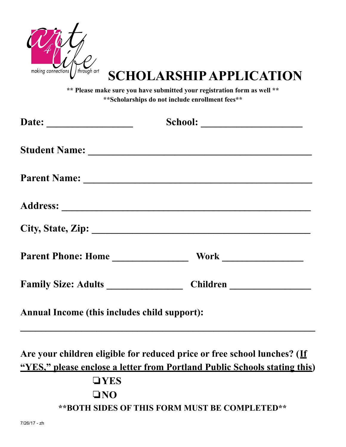

## **SCHOLARSHIP APPLICATION**

**\*\* Please make sure you have submitted your registration form as well \*\* \*\*Scholarships do not include enrollment fees\*\***

|                                              | School:                                                                                                                                                                                                                        |
|----------------------------------------------|--------------------------------------------------------------------------------------------------------------------------------------------------------------------------------------------------------------------------------|
|                                              | Student Name: 1988 and 1988 and 1988 and 1988 and 1988 and 1988 and 1988 and 1988 and 1988 and 1988 and 1988 and 1988 and 1988 and 1988 and 1988 and 1988 and 1988 and 1988 and 1988 and 1988 and 1988 and 1988 and 1988 and 1 |
|                                              |                                                                                                                                                                                                                                |
|                                              |                                                                                                                                                                                                                                |
|                                              |                                                                                                                                                                                                                                |
|                                              |                                                                                                                                                                                                                                |
|                                              |                                                                                                                                                                                                                                |
| Annual Income (this includes child support): |                                                                                                                                                                                                                                |

**Are your children eligible for reduced price or free school lunches? (If "YES, " please enclose a letter from Portland Public Schools stating this)**

**\_\_\_\_\_\_\_\_\_\_\_\_\_\_\_\_\_\_\_\_\_\_\_\_\_\_\_\_\_\_\_\_\_\_\_\_\_\_\_\_\_\_\_\_\_\_\_\_\_\_\_\_\_\_\_\_\_\_**

❏**YES** ❏**NO \*\*BOTH SIDES OF THIS FORM MUST BE COMPLETED\*\***